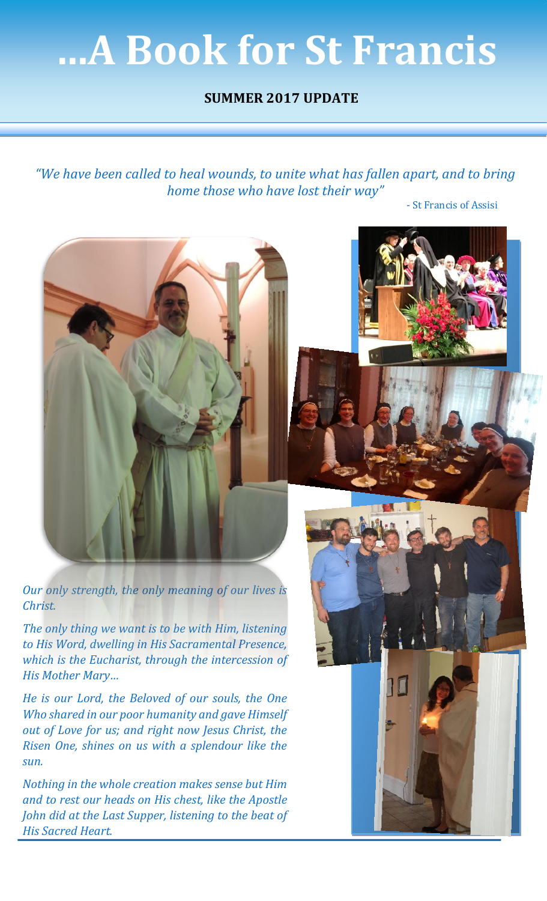# **…A Book for St Francis**

## **SUMMER 2017 UPDATE**

*"We have been called to heal wounds, to unite what has fallen apart, and to bring home those who have lost their way"*

- St Francis of Assisi



*Our only strength, the only meaning of our lives is Christ.*

*The only thing we want is to be with Him, listening to His Word, dwelling in His Sacramental Presence, which is the Eucharist, through the intercession of His Mother Mary…*

*He is our Lord, the Beloved of our souls, the One Who shared in our poor humanity and gave Himself out of Love for us; and right now Jesus Christ, the Risen One, shines on us with a splendour like the sun.*

*Nothing in the whole creation makes sense but Him and to rest our heads on His chest, like the Apostle John did at the Last Supper, listening to the beat of His Sacred Heart.*